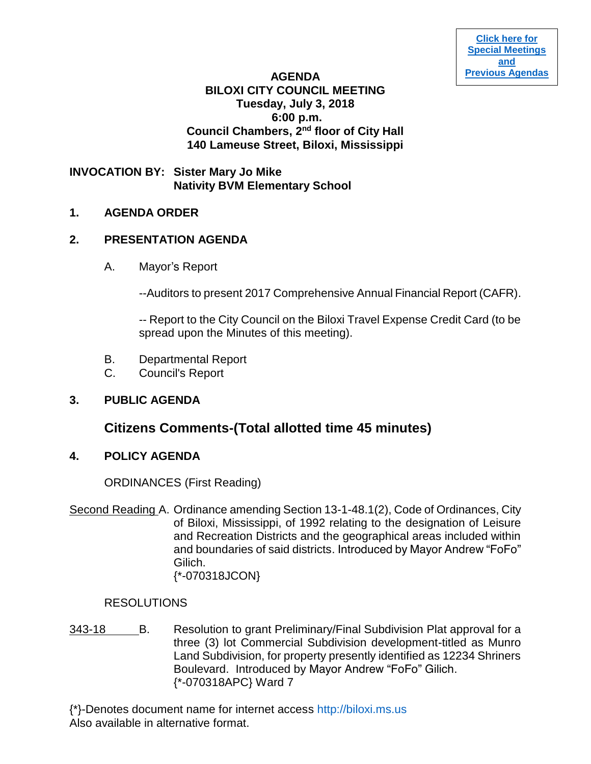# **AGENDA BILOXI CITY COUNCIL MEETING Tuesday, July 3, 2018 6:00 p.m. Council Chambers, 2nd floor of City Hall 140 Lameuse Street, Biloxi, Mississippi**

# **INVOCATION BY: Sister Mary Jo Mike Nativity BVM Elementary School**

# **1. AGENDA ORDER**

# **2. PRESENTATION AGENDA**

A. Mayor's Report

--Auditors to present 2017 Comprehensive Annual Financial Report (CAFR).

-- Report to the City Council on the Biloxi Travel Expense Credit Card (to be spread upon the Minutes of this meeting).

- B. Departmental Report
- C. Council's Report

# **3. PUBLIC AGENDA**

# **Citizens Comments-(Total allotted time 45 minutes)**

# **4. POLICY AGENDA**

ORDINANCES (First Reading)

Second Reading A. Ordinance amending Section 13-1-48.1(2), Code of Ordinances, City of Biloxi, Mississippi, of 1992 relating to the designation of Leisure and Recreation Districts and the geographical areas included within and boundaries of said districts. Introduced by Mayor Andrew "FoFo" Gilich. {\*-070318JCON}

# RESOLUTIONS

343-18 B. Resolution to grant Preliminary/Final Subdivision Plat approval for a three (3) lot Commercial Subdivision development-titled as Munro Land Subdivision, for property presently identified as 12234 Shriners Boulevard. Introduced by Mayor Andrew "FoFo" Gilich. {\*-070318APC} Ward 7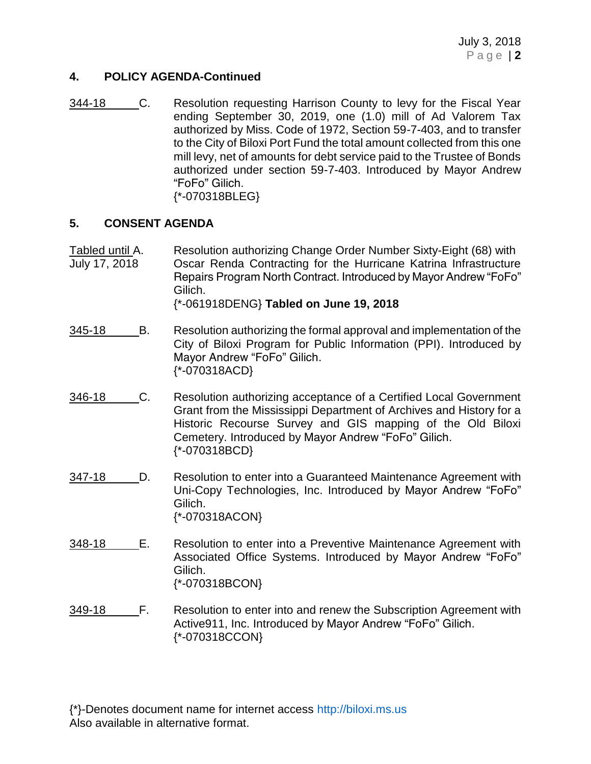July 3, 2018 P a g e | **2**

#### **4. POLICY AGENDA-Continued**

344-18 C. Resolution requesting Harrison County to levy for the Fiscal Year ending September 30, 2019, one (1.0) mill of Ad Valorem Tax authorized by Miss. Code of 1972, Section 59-7-403, and to transfer to the City of Biloxi Port Fund the total amount collected from this one mill levy, net of amounts for debt service paid to the Trustee of Bonds authorized under section 59-7-403. Introduced by Mayor Andrew "FoFo" Gilich. {\*-070318BLEG}

#### **5. CONSENT AGENDA**

Tabled until A. Resolution authorizing Change Order Number Sixty-Eight (68) with July 17, 2018 Oscar Renda Contracting for the Hurricane Katrina Infrastructure Repairs Program North Contract. Introduced by Mayor Andrew "FoFo" Gilich.

{\*-061918DENG} **Tabled on June 19, 2018**

- 345-18 B. Resolution authorizing the formal approval and implementation of the City of Biloxi Program for Public Information (PPI). Introduced by Mayor Andrew "FoFo" Gilich. {\*-070318ACD}
- 346-18 C. Resolution authorizing acceptance of a Certified Local Government Grant from the Mississippi Department of Archives and History for a Historic Recourse Survey and GIS mapping of the Old Biloxi Cemetery. Introduced by Mayor Andrew "FoFo" Gilich. {\*-070318BCD}
- 347-18 D. Resolution to enter into a Guaranteed Maintenance Agreement with Uni-Copy Technologies, Inc. Introduced by Mayor Andrew "FoFo" Gilich. {\*-070318ACON}
- 348-18 E. Resolution to enter into a Preventive Maintenance Agreement with Associated Office Systems. Introduced by Mayor Andrew "FoFo" Gilich. {\*-070318BCON}
- 349-18 F. Resolution to enter into and renew the Subscription Agreement with Active911, Inc. Introduced by Mayor Andrew "FoFo" Gilich. {\*-070318CCON}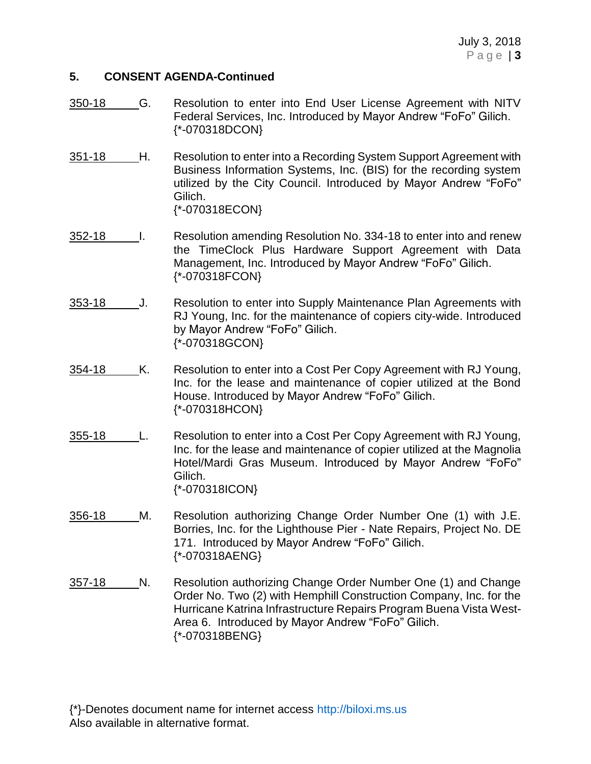### **5. CONSENT AGENDA-Continued**

- 350-18 G. Resolution to enter into End User License Agreement with NITV Federal Services, Inc. Introduced by Mayor Andrew "FoFo" Gilich. {\*-070318DCON}
- 351-18 H. Resolution to enter into a Recording System Support Agreement with Business Information Systems, Inc. (BIS) for the recording system utilized by the City Council. Introduced by Mayor Andrew "FoFo" Gilich. {\*-070318ECON}
- 352-18 I. Resolution amending Resolution No. 334-18 to enter into and renew the TimeClock Plus Hardware Support Agreement with Data Management, Inc. Introduced by Mayor Andrew "FoFo" Gilich. {\*-070318FCON}
- 353-18 J. Resolution to enter into Supply Maintenance Plan Agreements with RJ Young, Inc. for the maintenance of copiers city-wide. Introduced by Mayor Andrew "FoFo" Gilich. {\*-070318GCON}
- 354-18 K. Resolution to enter into a Cost Per Copy Agreement with RJ Young, Inc. for the lease and maintenance of copier utilized at the Bond House. Introduced by Mayor Andrew "FoFo" Gilich. {\*-070318HCON}
- 355-18 L. Resolution to enter into a Cost Per Copy Agreement with RJ Young, Inc. for the lease and maintenance of copier utilized at the Magnolia Hotel/Mardi Gras Museum. Introduced by Mayor Andrew "FoFo" Gilich. {\*-070318ICON}
- 356-18 M. Resolution authorizing Change Order Number One (1) with J.E. Borries, Inc. for the Lighthouse Pier - Nate Repairs, Project No. DE 171. Introduced by Mayor Andrew "FoFo" Gilich. {\*-070318AENG}
- 357-18 N. Resolution authorizing Change Order Number One (1) and Change Order No. Two (2) with Hemphill Construction Company, Inc. for the Hurricane Katrina Infrastructure Repairs Program Buena Vista West-Area 6. Introduced by Mayor Andrew "FoFo" Gilich. {\*-070318BENG}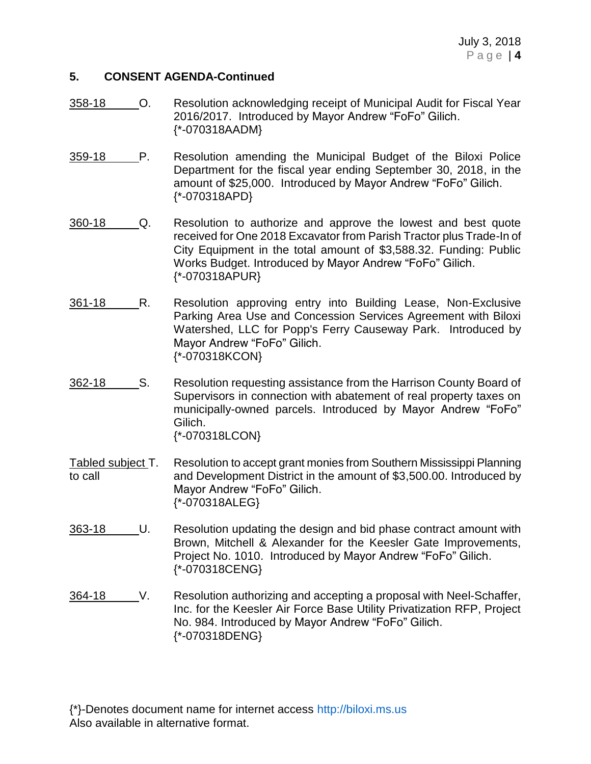#### **5. CONSENT AGENDA-Continued**

- 358-18 O. Resolution acknowledging receipt of Municipal Audit for Fiscal Year 2016/2017. Introduced by Mayor Andrew "FoFo" Gilich. {\*-070318AADM}
- 359-18 P. Resolution amending the Municipal Budget of the Biloxi Police Department for the fiscal year ending September 30, 2018, in the amount of \$25,000. Introduced by Mayor Andrew "FoFo" Gilich. {\*-070318APD}
- 360-18 Q. Resolution to authorize and approve the lowest and best quote received for One 2018 Excavator from Parish Tractor plus Trade-In of City Equipment in the total amount of \$3,588.32. Funding: Public Works Budget. Introduced by Mayor Andrew "FoFo" Gilich. {\*-070318APUR}
- 361-18 R. Resolution approving entry into Building Lease, Non-Exclusive Parking Area Use and Concession Services Agreement with Biloxi Watershed, LLC for Popp's Ferry Causeway Park. Introduced by Mayor Andrew "FoFo" Gilich. {\*-070318KCON}
- 362-18 S. Resolution requesting assistance from the Harrison County Board of Supervisors in connection with abatement of real property taxes on municipally-owned parcels. Introduced by Mayor Andrew "FoFo" Gilich. {\*-070318LCON}
- Tabled subject T. Resolution to accept grant monies from Southern Mississippi Planning to call and Development District in the amount of \$3,500.00. Introduced by Mayor Andrew "FoFo" Gilich. {\*-070318ALEG}
- 363-18 U. Resolution updating the design and bid phase contract amount with Brown, Mitchell & Alexander for the Keesler Gate Improvements, Project No. 1010. Introduced by Mayor Andrew "FoFo" Gilich. {\*-070318CENG}
- 364-18 V. Resolution authorizing and accepting a proposal with Neel-Schaffer, Inc. for the Keesler Air Force Base Utility Privatization RFP, Project No. 984. Introduced by Mayor Andrew "FoFo" Gilich. {\*-070318DENG}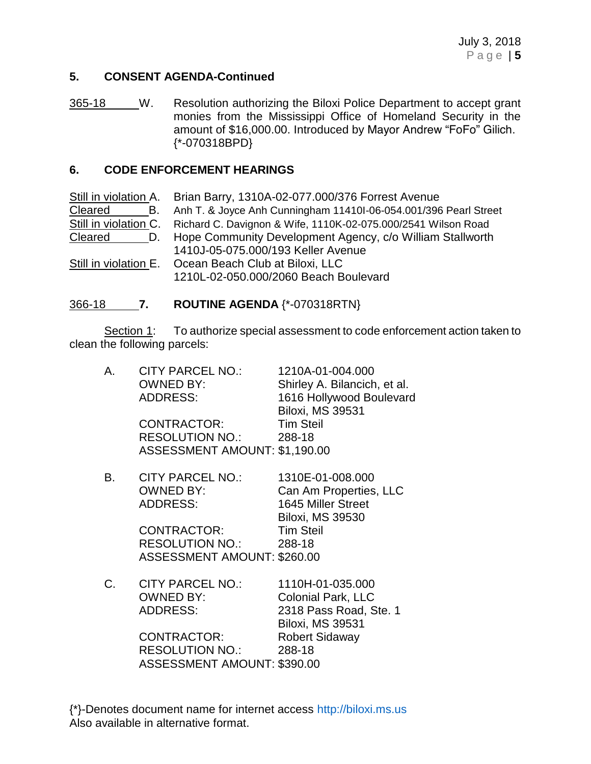## **5. CONSENT AGENDA-Continued**

365-18 W. Resolution authorizing the Biloxi Police Department to accept grant monies from the Mississippi Office of Homeland Security in the amount of \$16,000.00. Introduced by Mayor Andrew "FoFo" Gilich. {\*-070318BPD}

#### **6. CODE ENFORCEMENT HEARINGS**

|         | Still in violation A. Brian Barry, 1310A-02-077.000/376 Forrest Avenue              |
|---------|-------------------------------------------------------------------------------------|
| Cleared | B. Anh T. & Joyce Anh Cunningham 11410I-06-054.001/396 Pearl Street                 |
|         | Still in violation C. Richard C. Davignon & Wife, 1110K-02-075.000/2541 Wilson Road |
| Cleared | D. Hope Community Development Agency, c/o William Stallworth                        |
|         | 1410J-05-075.000/193 Keller Avenue                                                  |
|         | Still in violation E. Ocean Beach Club at Biloxi, LLC                               |
|         | 1210L-02-050.000/2060 Beach Boulevard                                               |

## 366-18 **7. ROUTINE AGENDA** {\*-070318RTN}

Section 1: To authorize special assessment to code enforcement action taken to clean the following parcels:

| А. | <b>CITY PARCEL NO.:</b>       | 1210A-01-004.000             |
|----|-------------------------------|------------------------------|
|    | <b>OWNED BY:</b>              | Shirley A. Bilancich, et al. |
|    | <b>ADDRESS:</b>               | 1616 Hollywood Boulevard     |
|    |                               | <b>Biloxi, MS 39531</b>      |
|    | CONTRACTOR:                   | <b>Tim Steil</b>             |
|    | RESOLUTION NO.: 288-18        |                              |
|    | ASSESSMENT AMOUNT: \$1,190.00 |                              |
| В. | <b>CITY PARCEL NO.:</b>       | 1310E-01-008.000             |
|    | <b>OWNED BY:</b>              | Can Am Properties, LLC       |
|    | <b>ADDRESS:</b>               | 1645 Miller Street           |
|    |                               | <b>Biloxi, MS 39530</b>      |
|    | <b>CONTRACTOR:</b>            | Tim Steil                    |
|    | <b>RESOLUTION NO.:</b>        | 288-18                       |
|    | ASSESSMENT AMOUNT: \$260.00   |                              |
| C. | <b>CITY PARCEL NO.:</b>       | 1110H-01-035.000             |
|    | <b>OWNED BY:</b>              | <b>Colonial Park, LLC</b>    |
|    | ADDRESS:                      | 2318 Pass Road, Ste. 1       |
|    |                               | <b>Biloxi, MS 39531</b>      |
|    | CONTRACTOR:                   | <b>Robert Sidaway</b>        |
|    | <b>RESOLUTION NO.:</b>        | 288-18                       |
|    | ASSESSMENT AMOUNT: \$390.00   |                              |